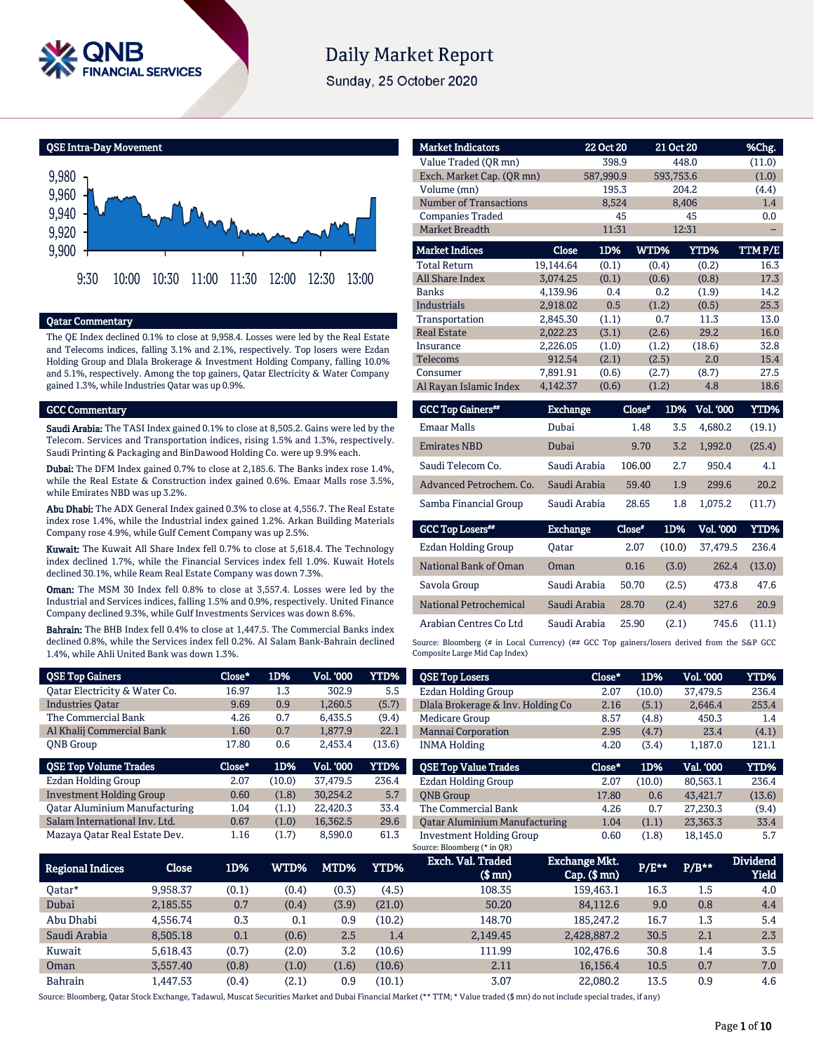

# **Daily Market Report**

Sunday, 25 October 2020

QSE Intra-Day Movement



#### Qatar Commentary

The QE Index declined 0.1% to close at 9,958.4. Losses were led by the Real Estate and Telecoms indices, falling 3.1% and 2.1%, respectively. Top losers were Ezdan Holding Group and Dlala Brokerage & Investment Holding Company, falling 10.0% and 5.1%, respectively. Among the top gainers, Qatar Electricity & Water Company gained 1.3%, while Industries Qatar was up 0.9%.

#### GCC Commentary

Saudi Arabia: The TASI Index gained 0.1% to close at 8,505.2. Gains were led by the Telecom. Services and Transportation indices, rising 1.5% and 1.3%, respectively. Saudi Printing & Packaging and BinDawood Holding Co. were up 9.9% each.

Dubai: The DFM Index gained 0.7% to close at 2,185.6. The Banks index rose 1.4%, while the Real Estate & Construction index gained 0.6%. Emaar Malls rose 3.5%, while Emirates NBD was up 3.2%.

Abu Dhabi: The ADX General Index gained 0.3% to close at 4,556.7. The Real Estate index rose 1.4%, while the Industrial index gained 1.2%. Arkan Building Materials Company rose 4.9%, while Gulf Cement Company was up 2.5%.

Kuwait: The Kuwait All Share Index fell 0.7% to close at 5,618.4. The Technology index declined 1.7%, while the Financial Services index fell 1.0%. Kuwait Hotels declined 30.1%, while Ream Real Estate Company was down 7.3%.

Oman: The MSM 30 Index fell 0.8% to close at 3,557.4. Losses were led by the Industrial and Services indices, falling 1.5% and 0.9%, respectively. United Finance Company declined 9.3%, while Gulf Investments Services was down 8.6%.

Bahrain: The BHB Index fell 0.4% to close at 1,447.5. The Commercial Banks index declined 0.8%, while the Services index fell 0.2%. Al Salam Bank-Bahrain declined 1.4%, while Ahli United Bank was down 1.3%.

| decimed 0.6%, while the Services muex fell 0.2%. All Salam Bank-Banram decimed<br>1.4%, while Ahli United Bank was down 1.3%. |        |        |           |             |             |  |  |  |
|-------------------------------------------------------------------------------------------------------------------------------|--------|--------|-----------|-------------|-------------|--|--|--|
| <b>OSE Top Gainers</b>                                                                                                        | Close* | 1D%    | Vol. '000 | <b>YTD%</b> | <b>QSE</b>  |  |  |  |
| Oatar Electricity & Water Co.                                                                                                 | 16.97  | 1.3    | 302.9     | 5.5         | Ezda        |  |  |  |
| <b>Industries Oatar</b>                                                                                                       | 9.69   | 0.9    | 1.260.5   | (5.7)       | <b>Dlal</b> |  |  |  |
| The Commercial Bank                                                                                                           | 4.26   | 0.7    | 6.435.5   | (9.4)       | Med         |  |  |  |
| Al Khalij Commercial Bank                                                                                                     | 1.60   | 0.7    | 1,877.9   | 22.1        | Man         |  |  |  |
| <b>ONB</b> Group                                                                                                              | 17.80  | 0.6    | 2,453.4   | (13.6)      | <b>INM</b>  |  |  |  |
| <b>QSE Top Volume Trades</b>                                                                                                  | Close* | 1D%    | Vol. '000 | YTD%        | <b>QSE</b>  |  |  |  |
| Ezdan Holding Group                                                                                                           | 2.07   | (10.0) | 37.479.5  | 236.4       | Ezda        |  |  |  |
| <b>Investment Holding Group</b>                                                                                               | 0.60   | (1.8)  | 30,254.2  | 5.7         | <b>ONE</b>  |  |  |  |
| <b>Oatar Aluminium Manufacturing</b>                                                                                          | 1.04   | (1.1)  | 22,420.3  | 33.4        | The         |  |  |  |
| Salam International Inv. Ltd.                                                                                                 | 0.67   | (1.0)  | 16.362.5  | 29.6        | Oata        |  |  |  |
| Mazaya Oatar Real Estate Dev.                                                                                                 | 1.16   | (1.7)  | 8,590.0   | 61.3        | Inve        |  |  |  |

| <b>Market Indicators</b>      |                 | 22 Oct 20 |        | 21 Oct 20 |           | %Chg.  |
|-------------------------------|-----------------|-----------|--------|-----------|-----------|--------|
| Value Traded (OR mn)          |                 | 398.9     |        | 448.0     |           | (11.0) |
| Exch. Market Cap. (OR mn)     |                 | 587,990.9 |        | 593,753.6 |           | (1.0)  |
| Volume (mn)                   |                 | 195.3     |        | 204.2     |           | (4.4)  |
| <b>Number of Transactions</b> |                 | 8,524     |        | 8,406     |           | 1.4    |
| <b>Companies Traded</b>       |                 | 45        |        |           | 45        | 0.0    |
| Market Breadth                |                 | 11:31     |        | 12:31     |           |        |
| <b>Market Indices</b>         | Close           | 1D%       | WTD%   |           | YTD%      | TTMP/E |
| <b>Total Return</b>           | 19,144.64       | (0.1)     |        | (0.4)     | (0.2)     | 16.3   |
| <b>All Share Index</b>        | 3,074.25        | (0.1)     |        | (0.6)     | (0.8)     | 17.3   |
| <b>Banks</b>                  | 4,139.96        | 0.4       |        | 0.2       | (1.9)     | 14.2   |
| <b>Industrials</b>            | 2,918.02        | 0.5       |        | (1.2)     | (0.5)     | 25.3   |
| Transportation                | 2,845.30        | (1.1)     |        | 0.7       | 11.3      | 13.0   |
| <b>Real Estate</b>            | 2,022.23        | (3.1)     |        | (2.6)     | 29.2      | 16.0   |
| Insurance                     | 2,226.05        | (1.0)     |        | (1.2)     | (18.6)    | 32.8   |
| <b>Telecoms</b>               | 912.54          | (2.1)     |        | (2.5)     | 2.0       | 15.4   |
| Consumer                      | 7,891.91        | (0.6)     |        | (2.7)     | (8.7)     | 27.5   |
| Al Rayan Islamic Index        | 4,142.37        | (0.6)     |        | (1.2)     | 4.8       | 18.6   |
| <b>GCC Top Gainers**</b>      | <b>Exchange</b> |           | Close* | 1D%       | Vol. '000 | YTD%   |
| <b>Emaar Malls</b>            | Dubai           |           | 1.48   | 3.5       | 4,680.2   | (19.1) |
| <b>Emirates NBD</b>           | Dubai           |           | 9.70   | 3.2       | 1,992.0   | (25.4) |
| Saudi Telecom Co.             | Saudi Arabia    |           | 106.00 | 2.7       | 950.4     | 4.1    |
| Advanced Petrochem, Co.       | Saudi Arabia    |           | 59.40  | 1.9       | 299.6     | 20.2   |
| Samba Financial Group         | Saudi Arabia    |           | 28.65  | 1.8       | 1,075.2   | (11.7) |
| <b>GCC Top Losers**</b>       | <b>Exchange</b> |           | Close* | 1D%       | Vol. '000 | YTD%   |
| <b>Ezdan Holding Group</b>    | Oatar           |           | 2.07   | (10.0)    | 37,479.5  | 236.4  |
| National Bank of Oman         | Oman            |           | 0.16   | (3.0)     | 262.4     | (13.0) |

| National Bank of Oman  | Oman         | 0.16  | (3.0) | 262.4 | (13.0) |
|------------------------|--------------|-------|-------|-------|--------|
| Savola Group           | Saudi Arabia | 50.70 | (2.5) | 473.8 | 47.6   |
| National Petrochemical | Saudi Arabia | 28.70 | (2.4) | 327.6 | 20.9   |
| Arabian Centres Co Ltd | Saudi Arabia | 25.90 | (2.1) | 745.6 | (11.1) |

Bloomberg (# in Local Currency) ( $#$  GCC Top gainers/losers derived from the S&P GCC osite Large Mid Cap Index)

| <b>QSE Top Losers</b>                | Close* | 1D%    | Vol. '000 | <b>YTD%</b> |
|--------------------------------------|--------|--------|-----------|-------------|
| <b>Ezdan Holding Group</b>           | 2.07   | (10.0) | 37.479.5  | 236.4       |
| Dlala Brokerage & Inv. Holding Co    | 2.16   | (5.1)  | 2.646.4   | 253.4       |
| Medicare Group                       | 8.57   | (4.8)  | 450.3     | 1.4         |
| <b>Mannai Corporation</b>            | 2.95   | (4.7)  | 23.4      | (4.1)       |
| <b>INMA Holding</b>                  | 4.20   | (3.4)  | 1.187.0   | 121.1       |
|                                      |        |        |           |             |
|                                      |        |        |           |             |
| <b>OSE Top Value Trades</b>          | Close* | 1D%    | Val. '000 | YTD%        |
| Ezdan Holding Group                  | 2.07   | (10.0) | 80.563.1  | 236.4       |
| <b>ONB</b> Group                     | 17.80  | 0.6    | 43.421.7  | (13.6)      |
| The Commercial Bank                  | 4.26   | 0.7    | 27.230.3  | (9.4)       |
| <b>Oatar Aluminium Manufacturing</b> | 1.04   | (1.1)  | 23,363.3  | 33.4        |

| Regional Indices | Close    | 1D%   | WTD%  | MTD%  | YTD%   | Exch. Val. Traded<br>$$$ mn $)$ | <b>Exchange Mkt.</b><br>$Cap.$ (\$ mn) | $P/E***$ | $P/B***$ | <b>Dividend</b><br>Yield |
|------------------|----------|-------|-------|-------|--------|---------------------------------|----------------------------------------|----------|----------|--------------------------|
| Oatar*           | 9.958.37 | (0.1) | (0.4) | (0.3) | (4.5)  | 108.35                          | 159,463.1                              | 16.3     | 1.5      | 4.0                      |
| Dubai            | 2,185.55 | 0.7   | (0.4) | (3.9) | (21.0) | 50.20                           | 84,112.6                               | 9.0      | 0.8      | 4.4                      |
| Abu Dhabi        | 4.556.74 | 0.3   | 0.1   | 0.9   | (10.2) | 148.70                          | 185.247.2                              | 16.7     | 1.3      | 5.4                      |
| Saudi Arabia     | 8.505.18 | 0.1   | (0.6) | 2.5   | 1.4    | 2,149.45                        | 2,428,887.2                            | 30.5     | 2.1      | 2.3                      |
| Kuwait           | 5.618.43 | (0.7) | (2.0) | 3.2   | (10.6) | 111.99                          | 102.476.6                              | 30.8     | 1.4      | 3.5                      |
| Oman             | 3.557.40 | (0.8) | (1.0) | (1.6) | (10.6) | 2.11                            | 16.156.4                               | 10.5     | 0.7      | 7.0                      |
| <b>Bahrain</b>   | .447.53  | (0.4) | (2.1) | 0.9   | (10.1) | 3.07                            | 22.080.2                               | 13.5     | 0.9      | 4.6                      |

Source: Bloomberg, Qatar Stock Exchange, Tadawul, Muscat Securities Market and Dubai Financial Market (\*\* TTM; \* Value traded (\$ mn) do not include special trades, if any)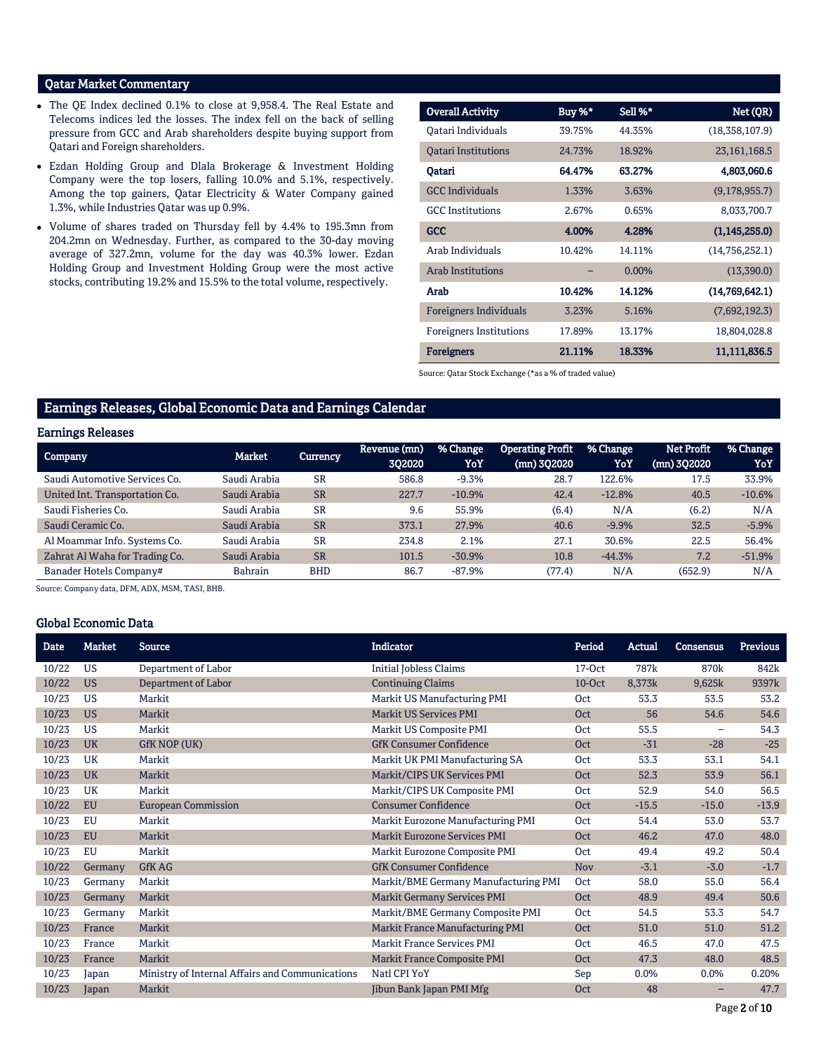## Qatar Market Commentary

- The QE Index declined 0.1% to close at 9,958.4. The Real Estate and Telecoms indices led the losses. The index fell on the back of selling pressure from GCC and Arab shareholders despite buying support from Qatari and Foreign shareholders.
- Ezdan Holding Group and Dlala Brokerage & Investment Holding Company were the top losers, falling 10.0% and 5.1%, respectively. Among the top gainers, Qatar Electricity & Water Company gained 1.3%, while Industries Qatar was up 0.9%.
- Volume of shares traded on Thursday fell by 4.4% to 195.3mn from 204.2mn on Wednesday. Further, as compared to the 30-day moving average of 327.2mn, volume for the day was 40.3% lower. Ezdan Holding Group and Investment Holding Group were the most active stocks, contributing 19.2% and 15.5% to the total volume, respectively.

| <b>Overall Activity</b>        | Buy %* | Sell %* | Net (QR)        |
|--------------------------------|--------|---------|-----------------|
| Oatari Individuals             | 39.75% | 44.35%  | (18,358,107.9)  |
| <b>Oatari Institutions</b>     | 24.73% | 18.92%  | 23, 161, 168.5  |
| Qatari                         | 64.47% | 63.27%  | 4,803,060.6     |
| <b>GCC</b> Individuals         | 1.33%  | 3.63%   | (9,178,955.7)   |
| <b>GCC</b> Institutions        | 2.67%  | 0.65%   | 8,033,700.7     |
| <b>GCC</b>                     | 4.00%  | 4.28%   | (1, 145, 255.0) |
| Arab Individuals               | 10.42% | 14.11%  | (14,756,252.1)  |
| <b>Arab Institutions</b>       |        | 0.00%   | (13,390.0)      |
| Arab                           | 10.42% | 14.12%  | (14,769,642.1)  |
| <b>Foreigners Individuals</b>  | 3.23%  | 5.16%   | (7,692,192.3)   |
| <b>Foreigners Institutions</b> | 17.89% | 13.17%  | 18,804,028.8    |
| <b>Foreigners</b>              | 21.11% | 18.33%  | 11,111,836.5    |

Source: Qatar Stock Exchange (\*as a % of traded value)

## Earnings Releases, Global Economic Data and Earnings Calendar

#### Earnings Releases

| <b>Company</b>                 | <b>Market</b>  | Currency   | Revenue (mn)<br>302020 | % Change<br>YoY | <b>Operating Profit</b><br>$(mn)$ 302020 | % Change<br>YoY | <b>Net Profit</b><br>(mn) 3Q2020 | % Change<br>YoY |
|--------------------------------|----------------|------------|------------------------|-----------------|------------------------------------------|-----------------|----------------------------------|-----------------|
| Saudi Automotive Services Co.  | Saudi Arabia   | <b>SR</b>  | 586.8                  | $-9.3%$         | 28.7                                     | 122.6%          | 17.5                             | 33.9%           |
| United Int. Transportation Co. | Saudi Arabia   | <b>SR</b>  | 227.7                  | $-10.9%$        | 42.4                                     | $-12.8%$        | 40.5                             | $-10.6%$        |
| Saudi Fisheries Co.            | Saudi Arabia   | <b>SR</b>  | 9.6                    | 55.9%           | (6.4)                                    | N/A             | (6.2)                            | N/A             |
| Saudi Ceramic Co.              | Saudi Arabia   | <b>SR</b>  | 373.1                  | 27.9%           | 40.6                                     | $-9.9%$         | 32.5                             | $-5.9%$         |
| Al Moammar Info. Systems Co.   | Saudi Arabia   | <b>SR</b>  | 234.8                  | 2.1%            | 27.1                                     | 30.6%           | 22.5                             | 56.4%           |
| Zahrat Al Waha for Trading Co. | Saudi Arabia   | <b>SR</b>  | 101.5                  | $-30.9%$        | 10.8                                     | $-44.3%$        | 7.2                              | $-51.9%$        |
| Banader Hotels Company#        | <b>Bahrain</b> | <b>BHD</b> | 86.7                   | $-87.9%$        | (77.4)                                   | N/A             | (652.9)                          | N/A             |

Source: Company data, DFM, ADX, MSM, TASI, BHB.

#### Global Economic Data

| Date  | <b>Market</b> | <b>Source</b>                                   | <b>Indicator</b>                       | Period     | Actual           | <b>Consensus</b>  | <b>Previous</b> |
|-------|---------------|-------------------------------------------------|----------------------------------------|------------|------------------|-------------------|-----------------|
| 10/22 | <b>US</b>     | Department of Labor                             | <b>Initial Jobless Claims</b>          | $17-0ct$   | 787 <sub>k</sub> | 870 <sub>k</sub>  | 842k            |
| 10/22 | <b>US</b>     | Department of Labor                             | <b>Continuing Claims</b>               | 10-Oct     | 8,373k           | 9,625k            | 9397k           |
| 10/23 | <b>US</b>     | Markit                                          | Markit US Manufacturing PMI            | <b>Oct</b> | 53.3             | 53.5              | 53.2            |
| 10/23 | <b>US</b>     | Markit                                          | Markit US Services PMI                 | <b>Oct</b> | 56               | 54.6              | 54.6            |
| 10/23 | <b>US</b>     | Markit                                          | Markit US Composite PMI                | <b>Oct</b> | 55.5             | $\qquad \qquad -$ | 54.3            |
| 10/23 | <b>UK</b>     | GfK NOP (UK)                                    | <b>GfK Consumer Confidence</b>         | <b>Oct</b> | $-31$            | $-28$             | $-25$           |
| 10/23 | <b>UK</b>     | Markit                                          | Markit UK PMI Manufacturing SA         | <b>Oct</b> | 53.3             | 53.1              | 54.1            |
| 10/23 | <b>UK</b>     | Markit                                          | Markit/CIPS UK Services PMI            | <b>Oct</b> | 52.3             | 53.9              | 56.1            |
| 10/23 | UK            | Markit                                          | Markit/CIPS UK Composite PMI           | Oct        | 52.9             | 54.0              | 56.5            |
| 10/22 | <b>EU</b>     | <b>European Commission</b>                      | <b>Consumer Confidence</b>             | <b>Oct</b> | $-15.5$          | $-15.0$           | $-13.9$         |
| 10/23 | <b>EU</b>     | Markit                                          | Markit Eurozone Manufacturing PMI      | Oct        | 54.4             | 53.0              | 53.7            |
| 10/23 | <b>EU</b>     | Markit                                          | Markit Eurozone Services PMI           | <b>Oct</b> | 46.2             | 47.0              | 48.0            |
| 10/23 | <b>EU</b>     | Markit                                          | Markit Eurozone Composite PMI          | <b>Oct</b> | 49.4             | 49.2              | 50.4            |
| 10/22 | Germany       | <b>GfK AG</b>                                   | <b>GfK Consumer Confidence</b>         | <b>Nov</b> | $-3.1$           | $-3.0$            | $-1.7$          |
| 10/23 | Germany       | Markit                                          | Markit/BME Germany Manufacturing PMI   | Oct        | 58.0             | 55.0              | 56.4            |
| 10/23 | Germany       | Markit                                          | <b>Markit Germany Services PMI</b>     | <b>Oct</b> | 48.9             | 49.4              | 50.6            |
| 10/23 | Germany       | Markit                                          | Markit/BME Germany Composite PMI       | Oct        | 54.5             | 53.3              | 54.7            |
| 10/23 | France        | Markit                                          | <b>Markit France Manufacturing PMI</b> | <b>Oct</b> | 51.0             | 51.0              | 51.2            |
| 10/23 | France        | Markit                                          | <b>Markit France Services PMI</b>      | <b>Oct</b> | 46.5             | 47.0              | 47.5            |
| 10/23 | France        | Markit                                          | <b>Markit France Composite PMI</b>     | <b>Oct</b> | 47.3             | 48.0              | 48.5            |
| 10/23 | Japan         | Ministry of Internal Affairs and Communications | Natl CPI YoY                           | Sep        | 0.0%             | 0.0%              | 0.20%           |
| 10/23 | Japan         | Markit                                          | Jibun Bank Japan PMI Mfg               | <b>Oct</b> | 48               | -                 | 47.7            |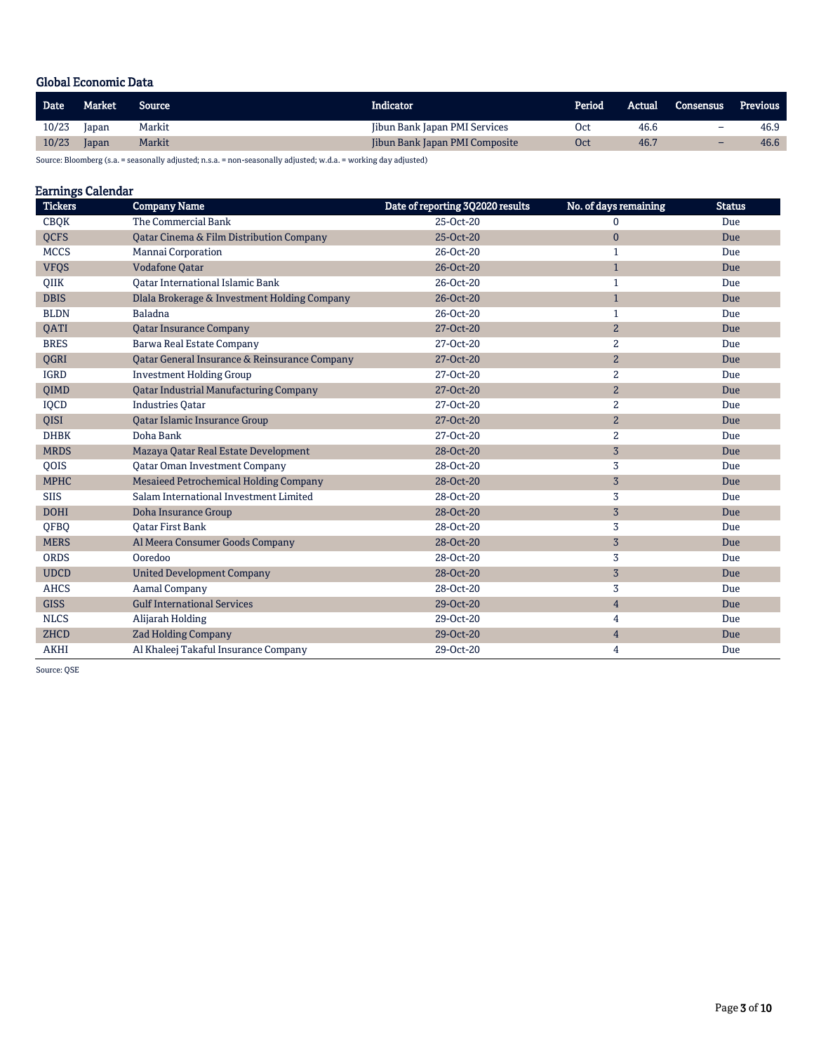## Global Economic Data

| <b>Date</b> | <b>Market</b> | Source | Indicator.                           | Period | Actual | <b>Consensus</b>         | <b>Previous</b> |
|-------------|---------------|--------|--------------------------------------|--------|--------|--------------------------|-----------------|
| 10/23       | Japan         | Markit | <b>Jibun Bank Japan PMI Services</b> | Oct    | 46.6   | $\overline{\phantom{0}}$ | 46.9            |
| 10/23       | Japan         | Markit | Jibun Bank Japan PMI Composite       | Oct    | 46.7   | $\overline{\phantom{0}}$ | 46.6            |
|             |               |        |                                      |        |        |                          |                 |

Source: Bloomberg (s.a. = seasonally adjusted; n.s.a. = non-seasonally adjusted; w.d.a. = working day adjusted)

## Earnings Calendar

| <b>Tickers</b> | <b>Company Name</b>                           | Date of reporting 3Q2020 results | No. of days remaining | <b>Status</b> |
|----------------|-----------------------------------------------|----------------------------------|-----------------------|---------------|
| <b>CBQK</b>    | The Commercial Bank                           | 25-Oct-20                        | 0                     | Due           |
| <b>QCFS</b>    | Qatar Cinema & Film Distribution Company      | 25-Oct-20                        | $\mathbf{0}$          | Due           |
| <b>MCCS</b>    | Mannai Corporation                            | 26-Oct-20                        | $\mathbf{1}$          | Due           |
| <b>VFQS</b>    | <b>Vodafone Qatar</b>                         | 26-Oct-20                        | $\mathbf{1}$          | Due           |
| QIIK           | Qatar International Islamic Bank              | 26-Oct-20                        | 1                     | Due           |
| <b>DBIS</b>    | Dlala Brokerage & Investment Holding Company  | 26-Oct-20                        | $\mathbf{1}$          | Due           |
| <b>BLDN</b>    | Baladna                                       | 26-Oct-20                        | $\mathbf{1}$          | Due           |
| QATI           | <b>Qatar Insurance Company</b>                | 27-Oct-20                        | $\overline{2}$        | Due           |
| <b>BRES</b>    | Barwa Real Estate Company                     | 27-Oct-20                        | $\overline{c}$        | Due           |
| QGRI           | Qatar General Insurance & Reinsurance Company | 27-Oct-20                        | $\mathbf{2}$          | Due           |
| <b>IGRD</b>    | <b>Investment Holding Group</b>               | 27-Oct-20                        | $\overline{2}$        | Due           |
| <b>OIMD</b>    | <b>Qatar Industrial Manufacturing Company</b> | 27-Oct-20                        | $\mathbf{2}$          | Due           |
| IQCD           | <b>Industries Qatar</b>                       | 27-Oct-20                        | 2                     | Due           |
| QISI           | Qatar Islamic Insurance Group                 | 27-Oct-20                        | $\overline{a}$        | Due           |
| <b>DHBK</b>    | Doha Bank                                     | 27-Oct-20                        | $\overline{c}$        | Due           |
| <b>MRDS</b>    | Mazaya Qatar Real Estate Development          | 28-Oct-20                        | $\overline{3}$        | Due           |
| <b>OOIS</b>    | <b>Oatar Oman Investment Company</b>          | 28-Oct-20                        | 3                     | Due           |
| <b>MPHC</b>    | Mesaieed Petrochemical Holding Company        | 28-Oct-20                        | $\sqrt{3}$            | Due           |
| <b>SIIS</b>    | Salam International Investment Limited        | 28-Oct-20                        | 3                     | Due           |
| <b>DOHI</b>    | Doha Insurance Group                          | 28-Oct-20                        | $\overline{3}$        | Due           |
| QFBQ           | <b>Oatar First Bank</b>                       | 28-Oct-20                        | 3                     | Due           |
| <b>MERS</b>    | Al Meera Consumer Goods Company               | 28-Oct-20                        | $\sqrt{3}$            | Due           |
| <b>ORDS</b>    | Ooredoo                                       | 28-Oct-20                        | 3                     | Due           |
| <b>UDCD</b>    | <b>United Development Company</b>             | 28-Oct-20                        | $\overline{3}$        | Due           |
| <b>AHCS</b>    | <b>Aamal Company</b>                          | 28-Oct-20                        | 3                     | Due           |
| <b>GISS</b>    | <b>Gulf International Services</b>            | 29-Oct-20                        | $\overline{4}$        | Due           |
| <b>NLCS</b>    | Alijarah Holding                              | 29-Oct-20                        | 4                     | Due           |
| <b>ZHCD</b>    | <b>Zad Holding Company</b>                    | 29-Oct-20                        | $\overline{4}$        | Due           |
| <b>AKHI</b>    | Al Khaleej Takaful Insurance Company          | 29-Oct-20                        | 4                     | Due           |

Source: QSE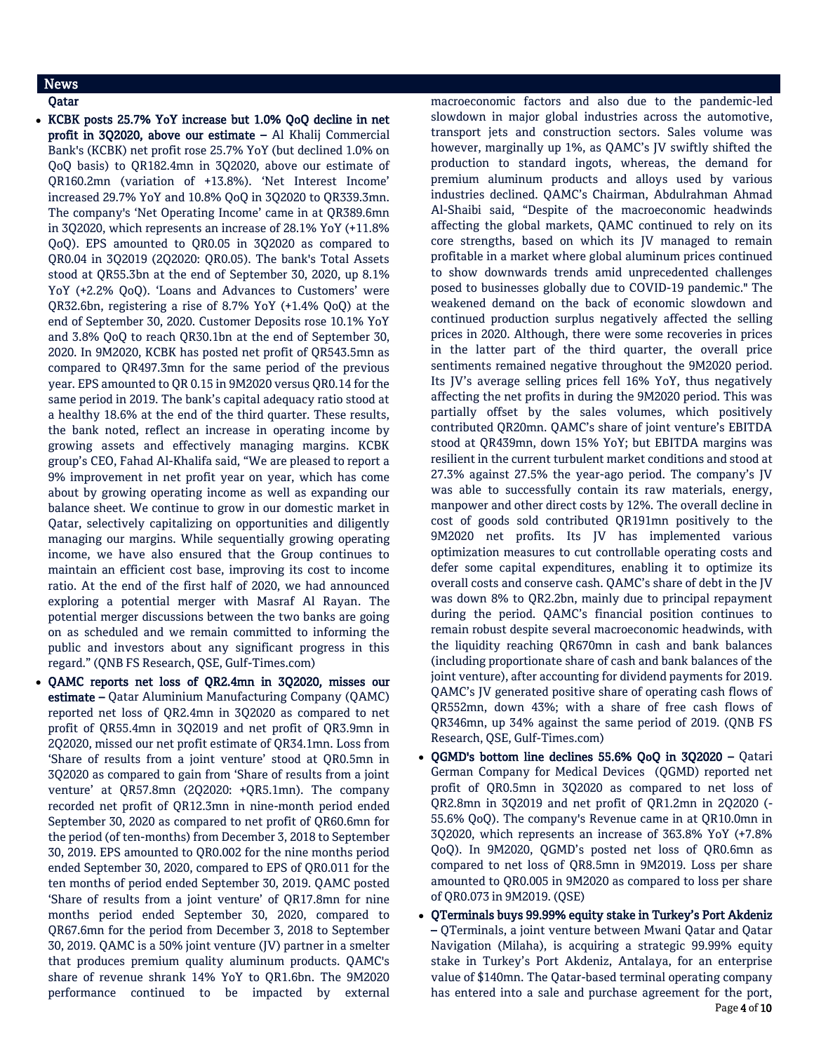## News

### Qatar

- KCBK posts 25.7% YoY increase but 1.0% QoQ decline in net profit in 3Q2020, above our estimate – Al Khalij Commercial Bank's (KCBK) net profit rose 25.7% YoY (but declined 1.0% on QoQ basis) to QR182.4mn in 3Q2020, above our estimate of QR160.2mn (variation of +13.8%). 'Net Interest Income' increased 29.7% YoY and 10.8% QoQ in 3Q2020 to QR339.3mn. The company's 'Net Operating Income' came in at QR389.6mn in 3Q2020, which represents an increase of 28.1% YoY (+11.8% QoQ). EPS amounted to QR0.05 in 3Q2020 as compared to QR0.04 in 3Q2019 (2Q2020: QR0.05). The bank's Total Assets stood at QR55.3bn at the end of September 30, 2020, up 8.1% YoY (+2.2% QoQ). 'Loans and Advances to Customers' were QR32.6bn, registering a rise of 8.7% YoY (+1.4% QoQ) at the end of September 30, 2020. Customer Deposits rose 10.1% YoY and 3.8% QoQ to reach QR30.1bn at the end of September 30, 2020. In 9M2020, KCBK has posted net profit of QR543.5mn as compared to QR497.3mn for the same period of the previous year. EPS amounted to QR 0.15 in 9M2020 versus QR0.14 for the same period in 2019. The bank's capital adequacy ratio stood at a healthy 18.6% at the end of the third quarter. These results, the bank noted, reflect an increase in operating income by growing assets and effectively managing margins. KCBK group's CEO, Fahad Al-Khalifa said, "We are pleased to report a 9% improvement in net profit year on year, which has come about by growing operating income as well as expanding our balance sheet. We continue to grow in our domestic market in Qatar, selectively capitalizing on opportunities and diligently managing our margins. While sequentially growing operating income, we have also ensured that the Group continues to maintain an efficient cost base, improving its cost to income ratio. At the end of the first half of 2020, we had announced exploring a potential merger with Masraf Al Rayan. The potential merger discussions between the two banks are going on as scheduled and we remain committed to informing the public and investors about any significant progress in this regard." (QNB FS Research, QSE, Gulf-Times.com)
- QAMC reports net loss of QR2.4mn in 3Q2020, misses our estimate – Qatar Aluminium Manufacturing Company (QAMC) reported net loss of QR2.4mn in 3Q2020 as compared to net profit of QR55.4mn in 3Q2019 and net profit of QR3.9mn in 2Q2020, missed our net profit estimate of QR34.1mn. Loss from 'Share of results from a joint venture' stood at QR0.5mn in 3Q2020 as compared to gain from 'Share of results from a joint venture' at QR57.8mn (2Q2020: +QR5.1mn). The company recorded net profit of QR12.3mn in nine-month period ended September 30, 2020 as compared to net profit of QR60.6mn for the period (of ten-months) from December 3, 2018 to September 30, 2019. EPS amounted to QR0.002 for the nine months period ended September 30, 2020, compared to EPS of QR0.011 for the ten months of period ended September 30, 2019. QAMC posted 'Share of results from a joint venture' of QR17.8mn for nine months period ended September 30, 2020, compared to QR67.6mn for the period from December 3, 2018 to September 30, 2019. QAMC is a 50% joint venture (JV) partner in a smelter that produces premium quality aluminum products. QAMC's share of revenue shrank 14% YoY to QR1.6bn. The 9M2020 performance continued to be impacted by external

macroeconomic factors and also due to the pandemic-led slowdown in major global industries across the automotive, transport jets and construction sectors. Sales volume was however, marginally up 1%, as QAMC's JV swiftly shifted the production to standard ingots, whereas, the demand for premium aluminum products and alloys used by various industries declined. QAMC's Chairman, Abdulrahman Ahmad Al-Shaibi said, "Despite of the macroeconomic headwinds affecting the global markets, QAMC continued to rely on its core strengths, based on which its JV managed to remain profitable in a market where global aluminum prices continued to show downwards trends amid unprecedented challenges posed to businesses globally due to COVID-19 pandemic." The weakened demand on the back of economic slowdown and continued production surplus negatively affected the selling prices in 2020. Although, there were some recoveries in prices in the latter part of the third quarter, the overall price sentiments remained negative throughout the 9M2020 period. Its JV's average selling prices fell 16% YoY, thus negatively affecting the net profits in during the 9M2020 period. This was partially offset by the sales volumes, which positively contributed QR20mn. QAMC's share of joint venture's EBITDA stood at QR439mn, down 15% YoY; but EBITDA margins was resilient in the current turbulent market conditions and stood at 27.3% against 27.5% the year-ago period. The company's JV was able to successfully contain its raw materials, energy, manpower and other direct costs by 12%. The overall decline in cost of goods sold contributed QR191mn positively to the 9M2020 net profits. Its JV has implemented various optimization measures to cut controllable operating costs and defer some capital expenditures, enabling it to optimize its overall costs and conserve cash. QAMC's share of debt in the JV was down 8% to QR2.2bn, mainly due to principal repayment during the period. QAMC's financial position continues to remain robust despite several macroeconomic headwinds, with the liquidity reaching QR670mn in cash and bank balances (including proportionate share of cash and bank balances of the joint venture), after accounting for dividend payments for 2019. QAMC's JV generated positive share of operating cash flows of QR552mn, down 43%; with a share of free cash flows of QR346mn, up 34% against the same period of 2019. (QNB FS Research, QSE, Gulf-Times.com)

- QGMD's bottom line declines 55.6% QoQ in 3Q2020 Qatari German Company for Medical Devices (QGMD) reported net profit of QR0.5mn in 3Q2020 as compared to net loss of QR2.8mn in 3Q2019 and net profit of QR1.2mn in 2Q2020 (- 55.6% QoQ). The company's Revenue came in at QR10.0mn in 3Q2020, which represents an increase of 363.8% YoY (+7.8% QoQ). In 9M2020, QGMD's posted net loss of QR0.6mn as compared to net loss of QR8.5mn in 9M2019. Loss per share amounted to QR0.005 in 9M2020 as compared to loss per share of QR0.073 in 9M2019. (QSE)
- QTerminals buys 99.99% equity stake in Turkey's Port Akdeniz – QTerminals, a joint venture between Mwani Qatar and Qatar Navigation (Milaha), is acquiring a strategic 99.99% equity stake in Turkey's Port Akdeniz, Antalaya, for an enterprise value of \$140mn. The Qatar-based terminal operating company has entered into a sale and purchase agreement for the port,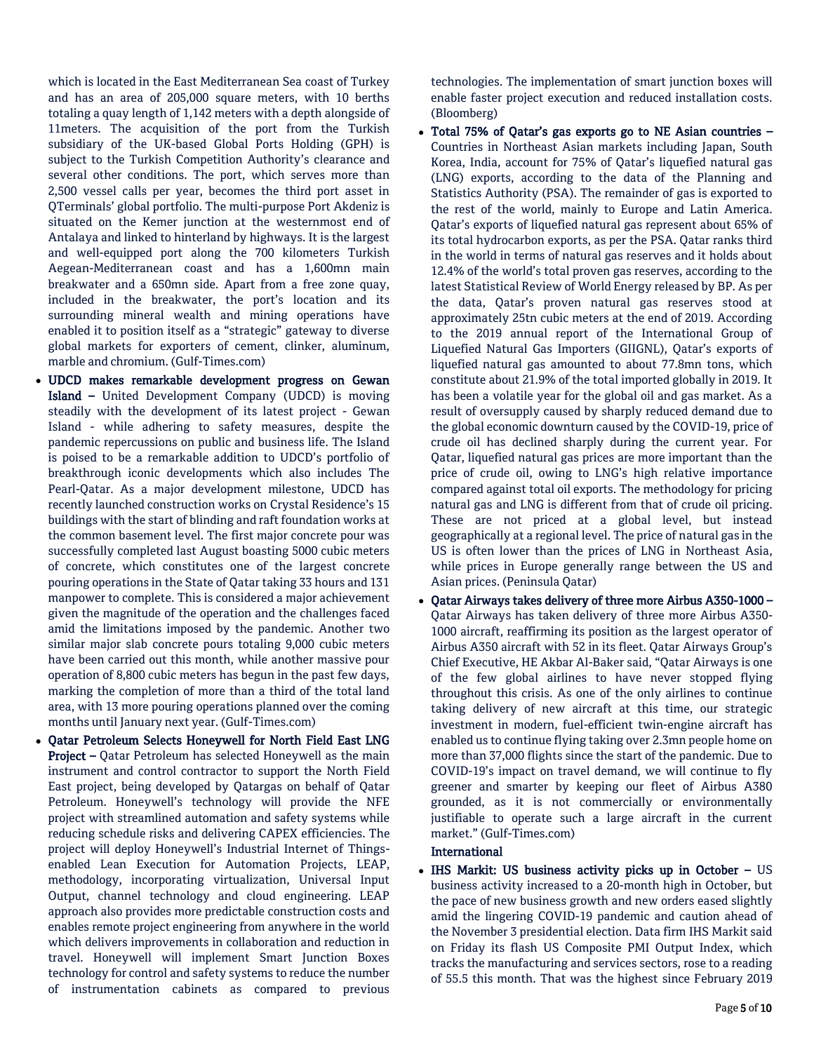which is located in the East Mediterranean Sea coast of Turkey and has an area of 205,000 square meters, with 10 berths totaling a quay length of 1,142 meters with a depth alongside of 11meters. The acquisition of the port from the Turkish subsidiary of the UK-based Global Ports Holding (GPH) is subject to the Turkish Competition Authority's clearance and several other conditions. The port, which serves more than 2,500 vessel calls per year, becomes the third port asset in QTerminals' global portfolio. The multi-purpose Port Akdeniz is situated on the Kemer junction at the westernmost end of Antalaya and linked to hinterland by highways. It is the largest and well-equipped port along the 700 kilometers Turkish Aegean-Mediterranean coast and has a 1,600mn main breakwater and a 650mn side. Apart from a free zone quay, included in the breakwater, the port's location and its surrounding mineral wealth and mining operations have enabled it to position itself as a "strategic" gateway to diverse global markets for exporters of cement, clinker, aluminum, marble and chromium. (Gulf-Times.com)

- UDCD makes remarkable development progress on Gewan Island – United Development Company (UDCD) is moving steadily with the development of its latest project - Gewan Island - while adhering to safety measures, despite the pandemic repercussions on public and business life. The Island is poised to be a remarkable addition to UDCD's portfolio of breakthrough iconic developments which also includes The Pearl-Qatar. As a major development milestone, UDCD has recently launched construction works on Crystal Residence's 15 buildings with the start of blinding and raft foundation works at the common basement level. The first major concrete pour was successfully completed last August boasting 5000 cubic meters of concrete, which constitutes one of the largest concrete pouring operations in the State of Qatar taking 33 hours and 131 manpower to complete. This is considered a major achievement given the magnitude of the operation and the challenges faced amid the limitations imposed by the pandemic. Another two similar major slab concrete pours totaling 9,000 cubic meters have been carried out this month, while another massive pour operation of 8,800 cubic meters has begun in the past few days, marking the completion of more than a third of the total land area, with 13 more pouring operations planned over the coming months until January next year. (Gulf-Times.com)
- Qatar Petroleum Selects Honeywell for North Field East LNG Project – Qatar Petroleum has selected Honeywell as the main instrument and control contractor to support the North Field East project, being developed by Qatargas on behalf of Qatar Petroleum. Honeywell's technology will provide the NFE project with streamlined automation and safety systems while reducing schedule risks and delivering CAPEX efficiencies. The project will deploy Honeywell's Industrial Internet of Thingsenabled Lean Execution for Automation Projects, LEAP, methodology, incorporating virtualization, Universal Input Output, channel technology and cloud engineering. LEAP approach also provides more predictable construction costs and enables remote project engineering from anywhere in the world which delivers improvements in collaboration and reduction in travel. Honeywell will implement Smart Junction Boxes technology for control and safety systems to reduce the number of instrumentation cabinets as compared to previous

technologies. The implementation of smart junction boxes will enable faster project execution and reduced installation costs. (Bloomberg)

- Total 75% of Qatar's gas exports go to NE Asian countries Countries in Northeast Asian markets including Japan, South Korea, India, account for 75% of Qatar's liquefied natural gas (LNG) exports, according to the data of the Planning and Statistics Authority (PSA). The remainder of gas is exported to the rest of the world, mainly to Europe and Latin America. Qatar's exports of liquefied natural gas represent about 65% of its total hydrocarbon exports, as per the PSA. Qatar ranks third in the world in terms of natural gas reserves and it holds about 12.4% of the world's total proven gas reserves, according to the latest Statistical Review of World Energy released by BP. As per the data, Qatar's proven natural gas reserves stood at approximately 25tn cubic meters at the end of 2019. According to the 2019 annual report of the International Group of Liquefied Natural Gas Importers (GIIGNL), Qatar's exports of liquefied natural gas amounted to about 77.8mn tons, which constitute about 21.9% of the total imported globally in 2019. It has been a volatile year for the global oil and gas market. As a result of oversupply caused by sharply reduced demand due to the global economic downturn caused by the COVID-19, price of crude oil has declined sharply during the current year. For Qatar, liquefied natural gas prices are more important than the price of crude oil, owing to LNG's high relative importance compared against total oil exports. The methodology for pricing natural gas and LNG is different from that of crude oil pricing. These are not priced at a global level, but instead geographically at a regional level. The price of natural gas in the US is often lower than the prices of LNG in Northeast Asia, while prices in Europe generally range between the US and Asian prices. (Peninsula Qatar)
- Qatar Airways takes delivery of three more Airbus A350-1000 Qatar Airways has taken delivery of three more Airbus A350- 1000 aircraft, reaffirming its position as the largest operator of Airbus A350 aircraft with 52 in its fleet. Qatar Airways Group's Chief Executive, HE Akbar Al-Baker said, "Qatar Airways is one of the few global airlines to have never stopped flying throughout this crisis. As one of the only airlines to continue taking delivery of new aircraft at this time, our strategic investment in modern, fuel-efficient twin-engine aircraft has enabled us to continue flying taking over 2.3mn people home on more than 37,000 flights since the start of the pandemic. Due to COVID-19's impact on travel demand, we will continue to fly greener and smarter by keeping our fleet of Airbus A380 grounded, as it is not commercially or environmentally justifiable to operate such a large aircraft in the current market." (Gulf-Times.com)

#### International

• IHS Markit: US business activity picks up in October – US business activity increased to a 20-month high in October, but the pace of new business growth and new orders eased slightly amid the lingering COVID-19 pandemic and caution ahead of the November 3 presidential election. Data firm IHS Markit said on Friday its flash US Composite PMI Output Index, which tracks the manufacturing and services sectors, rose to a reading of 55.5 this month. That was the highest since February 2019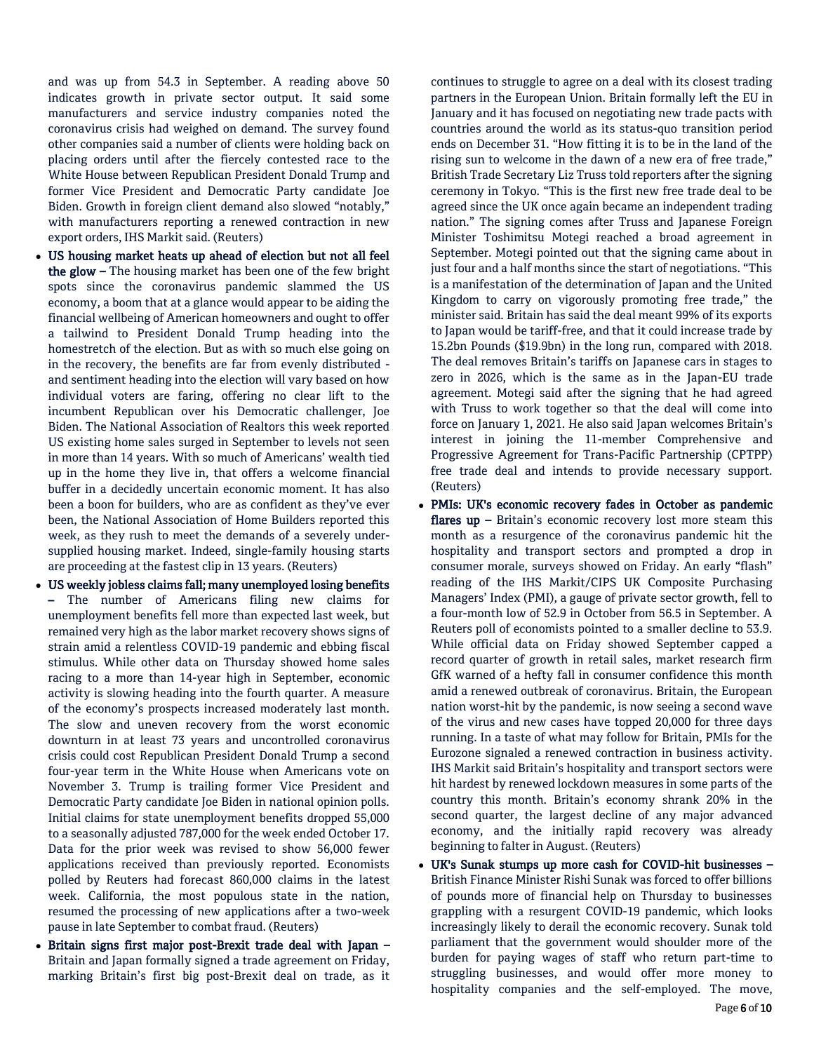and was up from 54.3 in September. A reading above 50 indicates growth in private sector output. It said some manufacturers and service industry companies noted the coronavirus crisis had weighed on demand. The survey found other companies said a number of clients were holding back on placing orders until after the fiercely contested race to the White House between Republican President Donald Trump and former Vice President and Democratic Party candidate Joe Biden. Growth in foreign client demand also slowed "notably," with manufacturers reporting a renewed contraction in new export orders, IHS Markit said. (Reuters)

- US housing market heats up ahead of election but not all feel the glow – The housing market has been one of the few bright spots since the coronavirus pandemic slammed the US economy, a boom that at a glance would appear to be aiding the financial wellbeing of American homeowners and ought to offer a tailwind to President Donald Trump heading into the homestretch of the election. But as with so much else going on in the recovery, the benefits are far from evenly distributed and sentiment heading into the election will vary based on how individual voters are faring, offering no clear lift to the incumbent Republican over his Democratic challenger, Joe Biden. The National Association of Realtors this week reported US existing home sales surged in September to levels not seen in more than 14 years. With so much of Americans' wealth tied up in the home they live in, that offers a welcome financial buffer in a decidedly uncertain economic moment. It has also been a boon for builders, who are as confident as they've ever been, the National Association of Home Builders reported this week, as they rush to meet the demands of a severely undersupplied housing market. Indeed, single-family housing starts are proceeding at the fastest clip in 13 years. (Reuters)
- US weekly jobless claims fall; many unemployed losing benefits – The number of Americans filing new claims for unemployment benefits fell more than expected last week, but remained very high as the labor market recovery shows signs of strain amid a relentless COVID-19 pandemic and ebbing fiscal stimulus. While other data on Thursday showed home sales racing to a more than 14-year high in September, economic activity is slowing heading into the fourth quarter. A measure of the economy's prospects increased moderately last month. The slow and uneven recovery from the worst economic downturn in at least 73 years and uncontrolled coronavirus crisis could cost Republican President Donald Trump a second four-year term in the White House when Americans vote on November 3. Trump is trailing former Vice President and Democratic Party candidate Joe Biden in national opinion polls. Initial claims for state unemployment benefits dropped 55,000 to a seasonally adjusted 787,000 for the week ended October 17. Data for the prior week was revised to show 56,000 fewer applications received than previously reported. Economists polled by Reuters had forecast 860,000 claims in the latest week. California, the most populous state in the nation, resumed the processing of new applications after a two-week pause in late September to combat fraud. (Reuters)
- Britain signs first major post-Brexit trade deal with Japan Britain and Japan formally signed a trade agreement on Friday, marking Britain's first big post-Brexit deal on trade, as it

continues to struggle to agree on a deal with its closest trading partners in the European Union. Britain formally left the EU in January and it has focused on negotiating new trade pacts with countries around the world as its status-quo transition period ends on December 31. "How fitting it is to be in the land of the rising sun to welcome in the dawn of a new era of free trade," British Trade Secretary Liz Truss told reporters after the signing ceremony in Tokyo. "This is the first new free trade deal to be agreed since the UK once again became an independent trading nation." The signing comes after Truss and Japanese Foreign Minister Toshimitsu Motegi reached a broad agreement in September. Motegi pointed out that the signing came about in just four and a half months since the start of negotiations. "This is a manifestation of the determination of Japan and the United Kingdom to carry on vigorously promoting free trade," the minister said. Britain has said the deal meant 99% of its exports to Japan would be tariff-free, and that it could increase trade by 15.2bn Pounds (\$19.9bn) in the long run, compared with 2018. The deal removes Britain's tariffs on Japanese cars in stages to zero in 2026, which is the same as in the Japan-EU trade agreement. Motegi said after the signing that he had agreed with Truss to work together so that the deal will come into force on January 1, 2021. He also said Japan welcomes Britain's interest in joining the 11-member Comprehensive and Progressive Agreement for Trans-Pacific Partnership (CPTPP) free trade deal and intends to provide necessary support. (Reuters)

- PMIs: UK's economic recovery fades in October as pandemic flares up – Britain's economic recovery lost more steam this month as a resurgence of the coronavirus pandemic hit the hospitality and transport sectors and prompted a drop in consumer morale, surveys showed on Friday. An early "flash" reading of the IHS Markit/CIPS UK Composite Purchasing Managers' Index (PMI), a gauge of private sector growth, fell to a four-month low of 52.9 in October from 56.5 in September. A Reuters poll of economists pointed to a smaller decline to 53.9. While official data on Friday showed September capped a record quarter of growth in retail sales, market research firm GfK warned of a hefty fall in consumer confidence this month amid a renewed outbreak of coronavirus. Britain, the European nation worst-hit by the pandemic, is now seeing a second wave of the virus and new cases have topped 20,000 for three days running. In a taste of what may follow for Britain, PMIs for the Eurozone signaled a renewed contraction in business activity. IHS Markit said Britain's hospitality and transport sectors were hit hardest by renewed lockdown measures in some parts of the country this month. Britain's economy shrank 20% in the second quarter, the largest decline of any major advanced economy, and the initially rapid recovery was already beginning to falter in August. (Reuters)
- UK's Sunak stumps up more cash for COVID-hit businesses British Finance Minister Rishi Sunak was forced to offer billions of pounds more of financial help on Thursday to businesses grappling with a resurgent COVID-19 pandemic, which looks increasingly likely to derail the economic recovery. Sunak told parliament that the government would shoulder more of the burden for paying wages of staff who return part-time to struggling businesses, and would offer more money to hospitality companies and the self-employed. The move,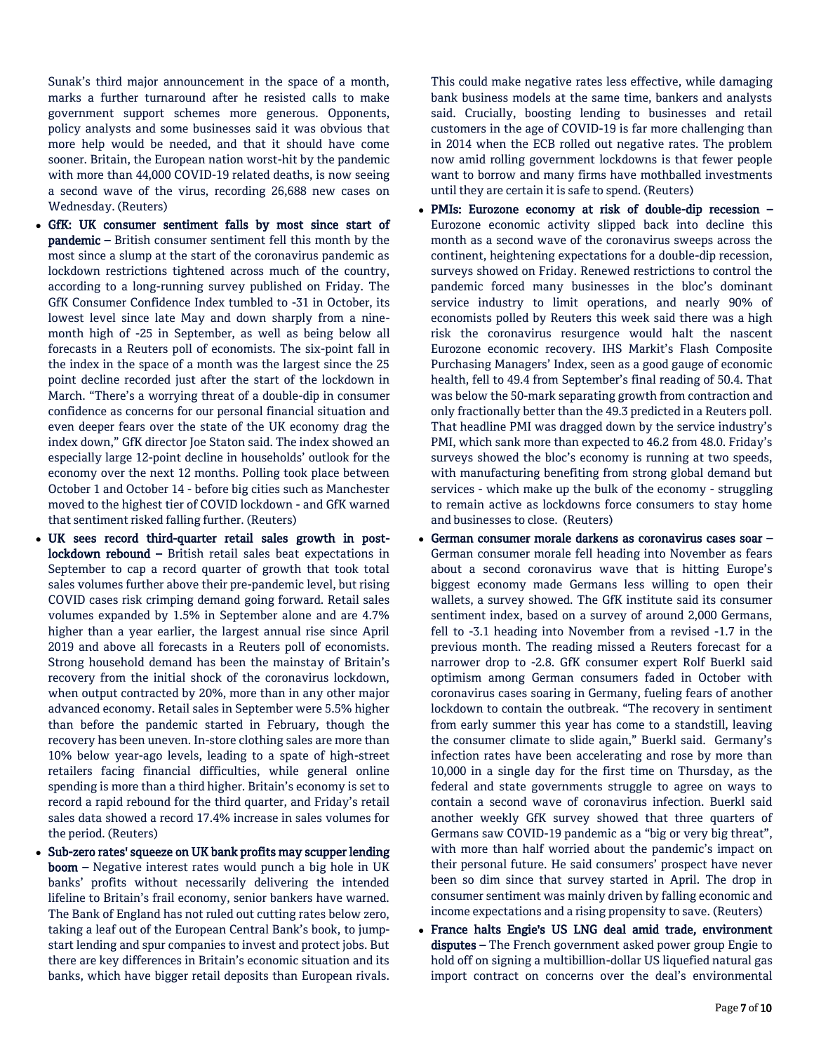Sunak's third major announcement in the space of a month, marks a further turnaround after he resisted calls to make government support schemes more generous. Opponents, policy analysts and some businesses said it was obvious that more help would be needed, and that it should have come sooner. Britain, the European nation worst-hit by the pandemic with more than 44,000 COVID-19 related deaths, is now seeing a second wave of the virus, recording 26,688 new cases on Wednesday. (Reuters)

- GfK: UK consumer sentiment falls by most since start of pandemic – British consumer sentiment fell this month by the most since a slump at the start of the coronavirus pandemic as lockdown restrictions tightened across much of the country, according to a long-running survey published on Friday. The GfK Consumer Confidence Index tumbled to -31 in October, its lowest level since late May and down sharply from a ninemonth high of -25 in September, as well as being below all forecasts in a Reuters poll of economists. The six-point fall in the index in the space of a month was the largest since the 25 point decline recorded just after the start of the lockdown in March. "There's a worrying threat of a double-dip in consumer confidence as concerns for our personal financial situation and even deeper fears over the state of the UK economy drag the index down," GfK director Joe Staton said. The index showed an especially large 12-point decline in households' outlook for the economy over the next 12 months. Polling took place between October 1 and October 14 - before big cities such as Manchester moved to the highest tier of COVID lockdown - and GfK warned that sentiment risked falling further. (Reuters)
- UK sees record third-quarter retail sales growth in postlockdown rebound – British retail sales beat expectations in September to cap a record quarter of growth that took total sales volumes further above their pre-pandemic level, but rising COVID cases risk crimping demand going forward. Retail sales volumes expanded by 1.5% in September alone and are 4.7% higher than a year earlier, the largest annual rise since April 2019 and above all forecasts in a Reuters poll of economists. Strong household demand has been the mainstay of Britain's recovery from the initial shock of the coronavirus lockdown, when output contracted by 20%, more than in any other major advanced economy. Retail sales in September were 5.5% higher than before the pandemic started in February, though the recovery has been uneven. In-store clothing sales are more than 10% below year-ago levels, leading to a spate of high-street retailers facing financial difficulties, while general online spending is more than a third higher. Britain's economy is set to record a rapid rebound for the third quarter, and Friday's retail sales data showed a record 17.4% increase in sales volumes for the period. (Reuters)
- Sub-zero rates' squeeze on UK bank profits may scupper lending boom – Negative interest rates would punch a big hole in UK banks' profits without necessarily delivering the intended lifeline to Britain's frail economy, senior bankers have warned. The Bank of England has not ruled out cutting rates below zero, taking a leaf out of the European Central Bank's book, to jumpstart lending and spur companies to invest and protect jobs. But there are key differences in Britain's economic situation and its banks, which have bigger retail deposits than European rivals.

This could make negative rates less effective, while damaging bank business models at the same time, bankers and analysts said. Crucially, boosting lending to businesses and retail customers in the age of COVID-19 is far more challenging than in 2014 when the ECB rolled out negative rates. The problem now amid rolling government lockdowns is that fewer people want to borrow and many firms have mothballed investments until they are certain it is safe to spend. (Reuters)

- PMIs: Eurozone economy at risk of double-dip recession Eurozone economic activity slipped back into decline this month as a second wave of the coronavirus sweeps across the continent, heightening expectations for a double-dip recession, surveys showed on Friday. Renewed restrictions to control the pandemic forced many businesses in the bloc's dominant service industry to limit operations, and nearly 90% of economists polled by Reuters this week said there was a high risk the coronavirus resurgence would halt the nascent Eurozone economic recovery. IHS Markit's Flash Composite Purchasing Managers' Index, seen as a good gauge of economic health, fell to 49.4 from September's final reading of 50.4. That was below the 50-mark separating growth from contraction and only fractionally better than the 49.3 predicted in a Reuters poll. That headline PMI was dragged down by the service industry's PMI, which sank more than expected to 46.2 from 48.0. Friday's surveys showed the bloc's economy is running at two speeds, with manufacturing benefiting from strong global demand but services - which make up the bulk of the economy - struggling to remain active as lockdowns force consumers to stay home and businesses to close. (Reuters)
- German consumer morale darkens as coronavirus cases soar German consumer morale fell heading into November as fears about a second coronavirus wave that is hitting Europe's biggest economy made Germans less willing to open their wallets, a survey showed. The GfK institute said its consumer sentiment index, based on a survey of around 2,000 Germans, fell to -3.1 heading into November from a revised -1.7 in the previous month. The reading missed a Reuters forecast for a narrower drop to -2.8. GfK consumer expert Rolf Buerkl said optimism among German consumers faded in October with coronavirus cases soaring in Germany, fueling fears of another lockdown to contain the outbreak. "The recovery in sentiment from early summer this year has come to a standstill, leaving the consumer climate to slide again," Buerkl said. Germany's infection rates have been accelerating and rose by more than 10,000 in a single day for the first time on Thursday, as the federal and state governments struggle to agree on ways to contain a second wave of coronavirus infection. Buerkl said another weekly GfK survey showed that three quarters of Germans saw COVID-19 pandemic as a "big or very big threat", with more than half worried about the pandemic's impact on their personal future. He said consumers' prospect have never been so dim since that survey started in April. The drop in consumer sentiment was mainly driven by falling economic and income expectations and a rising propensity to save. (Reuters)
- France halts Engie's US LNG deal amid trade, environment disputes – The French government asked power group Engie to hold off on signing a multibillion-dollar US liquefied natural gas import contract on concerns over the deal's environmental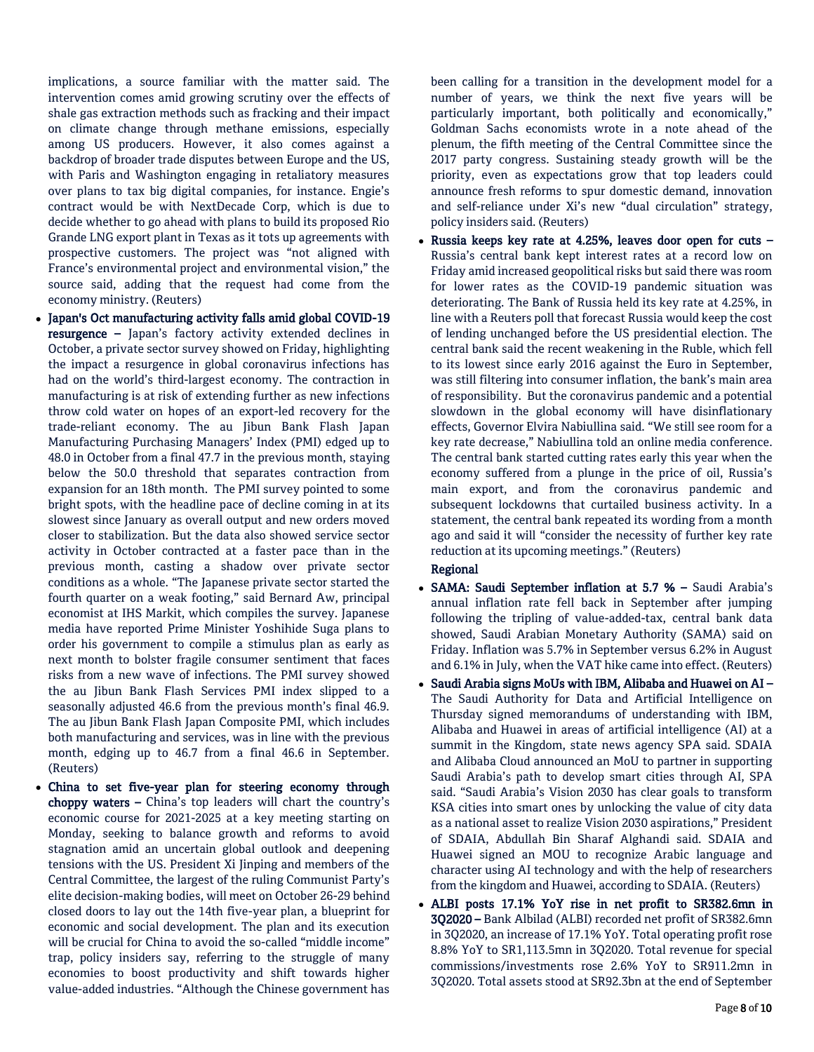implications, a source familiar with the matter said. The intervention comes amid growing scrutiny over the effects of shale gas extraction methods such as fracking and their impact on climate change through methane emissions, especially among US producers. However, it also comes against a backdrop of broader trade disputes between Europe and the US, with Paris and Washington engaging in retaliatory measures over plans to tax big digital companies, for instance. Engie's contract would be with NextDecade Corp, which is due to decide whether to go ahead with plans to build its proposed Rio Grande LNG export plant in Texas as it tots up agreements with prospective customers. The project was "not aligned with France's environmental project and environmental vision," the source said, adding that the request had come from the economy ministry. (Reuters)

- Japan's Oct manufacturing activity falls amid global COVID-19 resurgence – Japan's factory activity extended declines in October, a private sector survey showed on Friday, highlighting the impact a resurgence in global coronavirus infections has had on the world's third-largest economy. The contraction in manufacturing is at risk of extending further as new infections throw cold water on hopes of an export-led recovery for the trade-reliant economy. The au Jibun Bank Flash Japan Manufacturing Purchasing Managers' Index (PMI) edged up to 48.0 in October from a final 47.7 in the previous month, staying below the 50.0 threshold that separates contraction from expansion for an 18th month. The PMI survey pointed to some bright spots, with the headline pace of decline coming in at its slowest since January as overall output and new orders moved closer to stabilization. But the data also showed service sector activity in October contracted at a faster pace than in the previous month, casting a shadow over private sector conditions as a whole. "The Japanese private sector started the fourth quarter on a weak footing," said Bernard Aw, principal economist at IHS Markit, which compiles the survey. Japanese media have reported Prime Minister Yoshihide Suga plans to order his government to compile a stimulus plan as early as next month to bolster fragile consumer sentiment that faces risks from a new wave of infections. The PMI survey showed the au Jibun Bank Flash Services PMI index slipped to a seasonally adjusted 46.6 from the previous month's final 46.9. The au Jibun Bank Flash Japan Composite PMI, which includes both manufacturing and services, was in line with the previous month, edging up to 46.7 from a final 46.6 in September. (Reuters)
- China to set five-year plan for steering economy through choppy waters – China's top leaders will chart the country's economic course for 2021-2025 at a key meeting starting on Monday, seeking to balance growth and reforms to avoid stagnation amid an uncertain global outlook and deepening tensions with the US. President Xi Jinping and members of the Central Committee, the largest of the ruling Communist Party's elite decision-making bodies, will meet on October 26-29 behind closed doors to lay out the 14th five-year plan, a blueprint for economic and social development. The plan and its execution will be crucial for China to avoid the so-called "middle income" trap, policy insiders say, referring to the struggle of many economies to boost productivity and shift towards higher value-added industries. "Although the Chinese government has

been calling for a transition in the development model for a number of years, we think the next five years will be particularly important, both politically and economically," Goldman Sachs economists wrote in a note ahead of the plenum, the fifth meeting of the Central Committee since the 2017 party congress. Sustaining steady growth will be the priority, even as expectations grow that top leaders could announce fresh reforms to spur domestic demand, innovation and self-reliance under Xi's new "dual circulation" strategy, policy insiders said. (Reuters)

 Russia keeps key rate at 4.25%, leaves door open for cuts – Russia's central bank kept interest rates at a record low on Friday amid increased geopolitical risks but said there was room for lower rates as the COVID-19 pandemic situation was deteriorating. The Bank of Russia held its key rate at 4.25%, in line with a Reuters poll that forecast Russia would keep the cost of lending unchanged before the US presidential election. The central bank said the recent weakening in the Ruble, which fell to its lowest since early 2016 against the Euro in September, was still filtering into consumer inflation, the bank's main area of responsibility. But the coronavirus pandemic and a potential slowdown in the global economy will have disinflationary effects, Governor Elvira Nabiullina said. "We still see room for a key rate decrease," Nabiullina told an online media conference. The central bank started cutting rates early this year when the economy suffered from a plunge in the price of oil, Russia's main export, and from the coronavirus pandemic and subsequent lockdowns that curtailed business activity. In a statement, the central bank repeated its wording from a month ago and said it will "consider the necessity of further key rate reduction at its upcoming meetings." (Reuters)

## Regional

- SAMA: Saudi September inflation at 5.7 % Saudi Arabia's annual inflation rate fell back in September after jumping following the tripling of value-added-tax, central bank data showed, Saudi Arabian Monetary Authority (SAMA) said on Friday. Inflation was 5.7% in September versus 6.2% in August and 6.1% in July, when the VAT hike came into effect. (Reuters)
- $\bullet$  Saudi Arabia signs MoUs with IBM, Alibaba and Huawei on AI The Saudi Authority for Data and Artificial Intelligence on Thursday signed memorandums of understanding with IBM, Alibaba and Huawei in areas of artificial intelligence (AI) at a summit in the Kingdom, state news agency SPA said. SDAIA and Alibaba Cloud announced an MoU to partner in supporting Saudi Arabia's path to develop smart cities through AI, SPA said. "Saudi Arabia's Vision 2030 has clear goals to transform KSA cities into smart ones by unlocking the value of city data as a national asset to realize Vision 2030 aspirations," President of SDAIA, Abdullah Bin Sharaf Alghandi said. SDAIA and Huawei signed an MOU to recognize Arabic language and character using AI technology and with the help of researchers from the kingdom and Huawei, according to SDAIA. (Reuters)
- ALBI posts 17.1% YoY rise in net profit to SR382.6mn in 3Q2020 – Bank Albilad (ALBI) recorded net profit of SR382.6mn in 3Q2020, an increase of 17.1% YoY. Total operating profit rose 8.8% YoY to SR1,113.5mn in 3Q2020. Total revenue for special commissions/investments rose 2.6% YoY to SR911.2mn in 3Q2020. Total assets stood at SR92.3bn at the end of September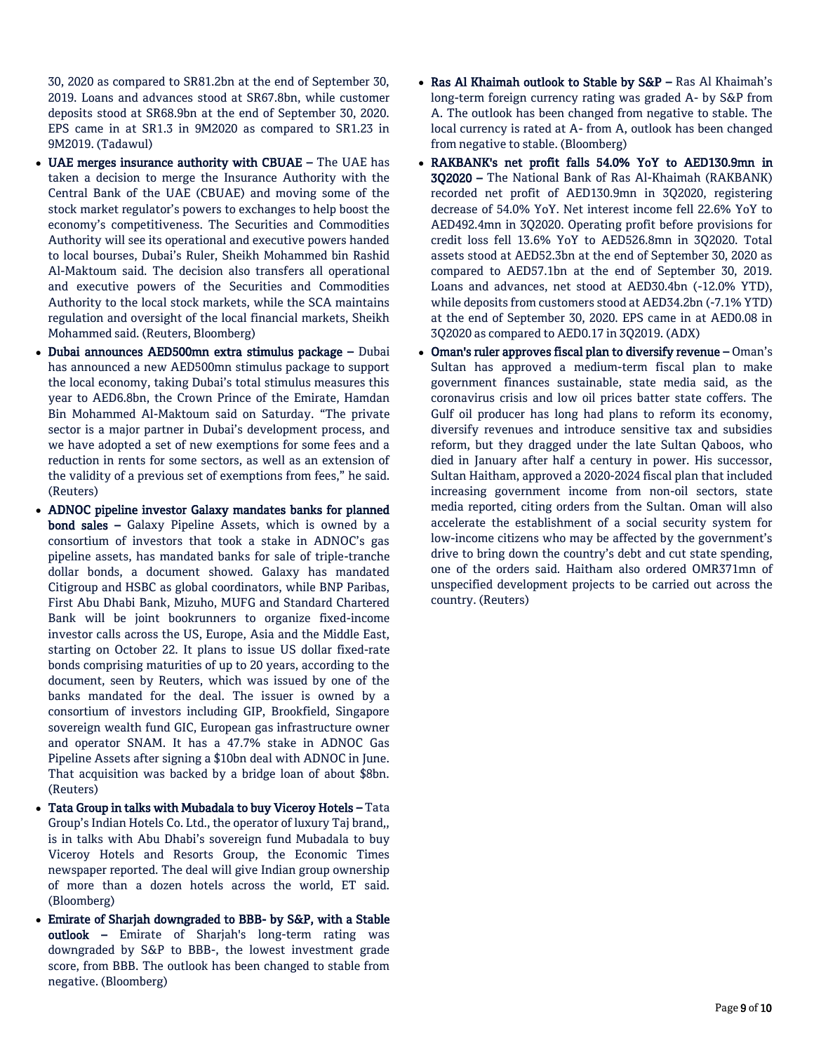30, 2020 as compared to SR81.2bn at the end of September 30, 2019. Loans and advances stood at SR67.8bn, while customer deposits stood at SR68.9bn at the end of September 30, 2020. EPS came in at SR1.3 in 9M2020 as compared to SR1.23 in 9M2019. (Tadawul)

- UAE merges insurance authority with CBUAE The UAE has taken a decision to merge the Insurance Authority with the Central Bank of the UAE (CBUAE) and moving some of the stock market regulator's powers to exchanges to help boost the economy's competitiveness. The Securities and Commodities Authority will see its operational and executive powers handed to local bourses, Dubai's Ruler, Sheikh Mohammed bin Rashid Al-Maktoum said. The decision also transfers all operational and executive powers of the Securities and Commodities Authority to the local stock markets, while the SCA maintains regulation and oversight of the local financial markets, Sheikh Mohammed said. (Reuters, Bloomberg)
- Dubai announces AED500mn extra stimulus package Dubai has announced a new AED500mn stimulus package to support the local economy, taking Dubai's total stimulus measures this year to AED6.8bn, the Crown Prince of the Emirate, Hamdan Bin Mohammed Al-Maktoum said on Saturday. "The private sector is a major partner in Dubai's development process, and we have adopted a set of new exemptions for some fees and a reduction in rents for some sectors, as well as an extension of the validity of a previous set of exemptions from fees," he said. (Reuters)
- ADNOC pipeline investor Galaxy mandates banks for planned bond sales – Galaxy Pipeline Assets, which is owned by a consortium of investors that took a stake in ADNOC's gas pipeline assets, has mandated banks for sale of triple-tranche dollar bonds, a document showed. Galaxy has mandated Citigroup and HSBC as global coordinators, while BNP Paribas, First Abu Dhabi Bank, Mizuho, MUFG and Standard Chartered Bank will be joint bookrunners to organize fixed-income investor calls across the US, Europe, Asia and the Middle East, starting on October 22. It plans to issue US dollar fixed-rate bonds comprising maturities of up to 20 years, according to the document, seen by Reuters, which was issued by one of the banks mandated for the deal. The issuer is owned by a consortium of investors including GIP, Brookfield, Singapore sovereign wealth fund GIC, European gas infrastructure owner and operator SNAM. It has a 47.7% stake in ADNOC Gas Pipeline Assets after signing a \$10bn deal with ADNOC in June. That acquisition was backed by a bridge loan of about \$8bn. (Reuters)
- Tata Group in talks with Mubadala to buy Viceroy Hotels Tata Group's Indian Hotels Co. Ltd., the operator of luxury Taj brand,, is in talks with Abu Dhabi's sovereign fund Mubadala to buy Viceroy Hotels and Resorts Group, the Economic Times newspaper reported. The deal will give Indian group ownership of more than a dozen hotels across the world, ET said. (Bloomberg)
- Emirate of Sharjah downgraded to BBB- by S&P, with a Stable outlook – Emirate of Sharjah's long-term rating was downgraded by S&P to BBB-, the lowest investment grade score, from BBB. The outlook has been changed to stable from negative. (Bloomberg)
- Ras Al Khaimah outlook to Stable by S&P Ras Al Khaimah's long-term foreign currency rating was graded A- by S&P from A. The outlook has been changed from negative to stable. The local currency is rated at A- from A, outlook has been changed from negative to stable. (Bloomberg)
- RAKBANK's net profit falls 54.0% YoY to AED130.9mn in 3Q2020 – The National Bank of Ras Al-Khaimah (RAKBANK) recorded net profit of AED130.9mn in 3Q2020, registering decrease of 54.0% YoY. Net interest income fell 22.6% YoY to AED492.4mn in 3Q2020. Operating profit before provisions for credit loss fell 13.6% YoY to AED526.8mn in 3Q2020. Total assets stood at AED52.3bn at the end of September 30, 2020 as compared to AED57.1bn at the end of September 30, 2019. Loans and advances, net stood at AED30.4bn (-12.0% YTD), while deposits from customers stood at AED34.2bn (-7.1% YTD) at the end of September 30, 2020. EPS came in at AED0.08 in 3Q2020 as compared to AED0.17 in 3Q2019. (ADX)
- Oman's ruler approves fiscal plan to diversify revenue Oman's Sultan has approved a medium-term fiscal plan to make government finances sustainable, state media said, as the coronavirus crisis and low oil prices batter state coffers. The Gulf oil producer has long had plans to reform its economy, diversify revenues and introduce sensitive tax and subsidies reform, but they dragged under the late Sultan Qaboos, who died in January after half a century in power. His successor, Sultan Haitham, approved a 2020-2024 fiscal plan that included increasing government income from non-oil sectors, state media reported, citing orders from the Sultan. Oman will also accelerate the establishment of a social security system for low-income citizens who may be affected by the government's drive to bring down the country's debt and cut state spending, one of the orders said. Haitham also ordered OMR371mn of unspecified development projects to be carried out across the country. (Reuters)